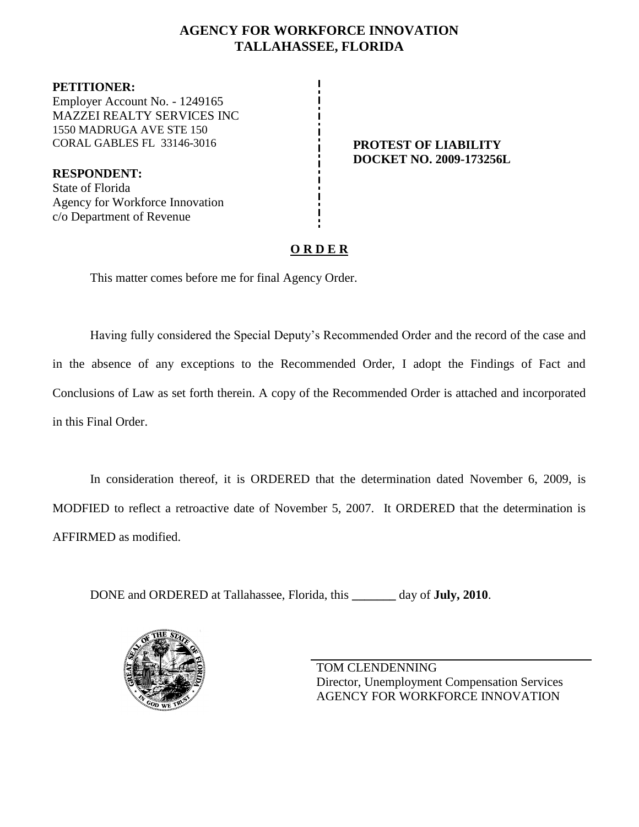# **AGENCY FOR WORKFORCE INNOVATION TALLAHASSEE, FLORIDA**

**PETITIONER:** Employer Account No. - 1249165 MAZZEI REALTY SERVICES INC 1550 MADRUGA AVE STE 150 CORAL GABLES FL 33146-3016 **PROTEST OF LIABILITY**

**RESPONDENT:** State of Florida Agency for Workforce Innovation c/o Department of Revenue

**DOCKET NO. 2009-173256L**

# **O R D E R**

This matter comes before me for final Agency Order.

Having fully considered the Special Deputy's Recommended Order and the record of the case and in the absence of any exceptions to the Recommended Order, I adopt the Findings of Fact and Conclusions of Law as set forth therein. A copy of the Recommended Order is attached and incorporated in this Final Order.

In consideration thereof, it is ORDERED that the determination dated November 6, 2009, is MODFIED to reflect a retroactive date of November 5, 2007. It ORDERED that the determination is AFFIRMED as modified.

DONE and ORDERED at Tallahassee, Florida, this **\_\_\_\_\_\_\_** day of **July, 2010**.



TOM CLENDENNING Director, Unemployment Compensation Services AGENCY FOR WORKFORCE INNOVATION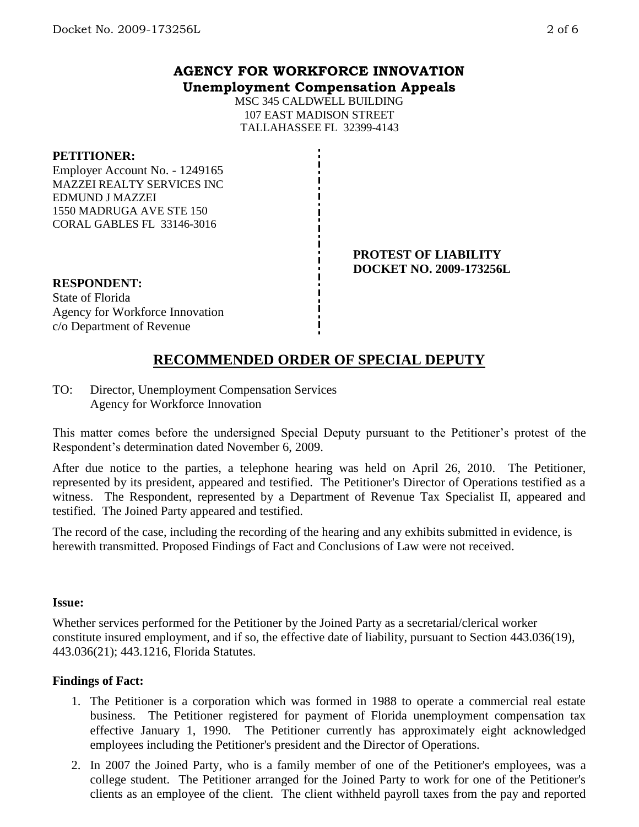## **AGENCY FOR WORKFORCE INNOVATION Unemployment Compensation Appeals**

MSC 345 CALDWELL BUILDING 107 EAST MADISON STREET TALLAHASSEE FL 32399-4143

#### **PETITIONER:**

Employer Account No. - 1249165 MAZZEI REALTY SERVICES INC EDMUND J MAZZEI 1550 MADRUGA AVE STE 150 CORAL GABLES FL 33146-3016

#### **PROTEST OF LIABILITY DOCKET NO. 2009-173256L**

### **RESPONDENT:**

State of Florida Agency for Workforce Innovation c/o Department of Revenue

# **RECOMMENDED ORDER OF SPECIAL DEPUTY**

TO: Director, Unemployment Compensation Services Agency for Workforce Innovation

This matter comes before the undersigned Special Deputy pursuant to the Petitioner's protest of the Respondent's determination dated November 6, 2009.

After due notice to the parties, a telephone hearing was held on April 26, 2010. The Petitioner, represented by its president, appeared and testified. The Petitioner's Director of Operations testified as a witness. The Respondent, represented by a Department of Revenue Tax Specialist II, appeared and testified. The Joined Party appeared and testified.

The record of the case, including the recording of the hearing and any exhibits submitted in evidence, is herewith transmitted. Proposed Findings of Fact and Conclusions of Law were not received.

#### **Issue:**

Whether services performed for the Petitioner by the Joined Party as a secretarial/clerical worker constitute insured employment, and if so, the effective date of liability, pursuant to Section 443.036(19), 443.036(21); 443.1216, Florida Statutes.

### **Findings of Fact:**

- 1. The Petitioner is a corporation which was formed in 1988 to operate a commercial real estate business. The Petitioner registered for payment of Florida unemployment compensation tax effective January 1, 1990. The Petitioner currently has approximately eight acknowledged employees including the Petitioner's president and the Director of Operations.
- 2. In 2007 the Joined Party, who is a family member of one of the Petitioner's employees, was a college student. The Petitioner arranged for the Joined Party to work for one of the Petitioner's clients as an employee of the client. The client withheld payroll taxes from the pay and reported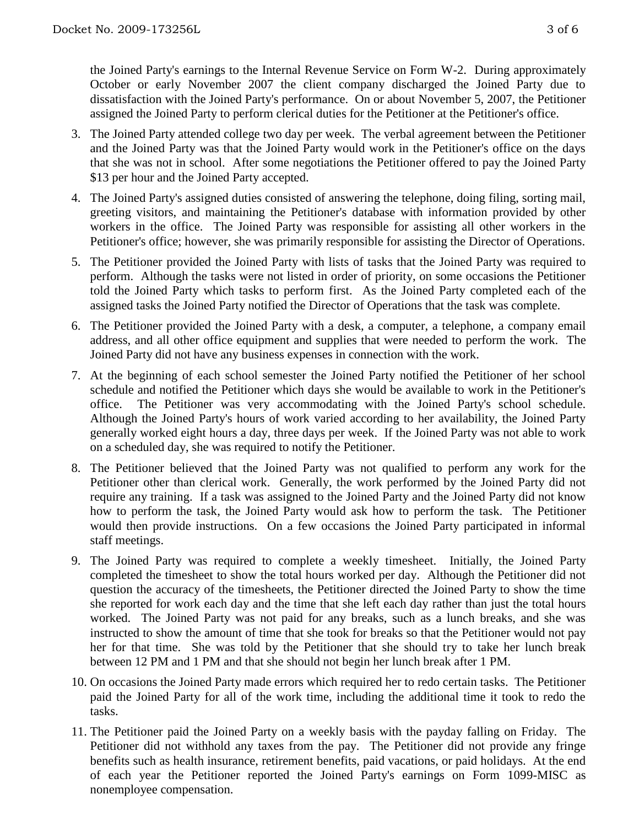the Joined Party's earnings to the Internal Revenue Service on Form W-2. During approximately October or early November 2007 the client company discharged the Joined Party due to dissatisfaction with the Joined Party's performance. On or about November 5, 2007, the Petitioner assigned the Joined Party to perform clerical duties for the Petitioner at the Petitioner's office.

- 3. The Joined Party attended college two day per week. The verbal agreement between the Petitioner and the Joined Party was that the Joined Party would work in the Petitioner's office on the days that she was not in school. After some negotiations the Petitioner offered to pay the Joined Party \$13 per hour and the Joined Party accepted.
- 4. The Joined Party's assigned duties consisted of answering the telephone, doing filing, sorting mail, greeting visitors, and maintaining the Petitioner's database with information provided by other workers in the office. The Joined Party was responsible for assisting all other workers in the Petitioner's office; however, she was primarily responsible for assisting the Director of Operations.
- 5. The Petitioner provided the Joined Party with lists of tasks that the Joined Party was required to perform. Although the tasks were not listed in order of priority, on some occasions the Petitioner told the Joined Party which tasks to perform first. As the Joined Party completed each of the assigned tasks the Joined Party notified the Director of Operations that the task was complete.
- 6. The Petitioner provided the Joined Party with a desk, a computer, a telephone, a company email address, and all other office equipment and supplies that were needed to perform the work. The Joined Party did not have any business expenses in connection with the work.
- 7. At the beginning of each school semester the Joined Party notified the Petitioner of her school schedule and notified the Petitioner which days she would be available to work in the Petitioner's office. The Petitioner was very accommodating with the Joined Party's school schedule. Although the Joined Party's hours of work varied according to her availability, the Joined Party generally worked eight hours a day, three days per week. If the Joined Party was not able to work on a scheduled day, she was required to notify the Petitioner.
- 8. The Petitioner believed that the Joined Party was not qualified to perform any work for the Petitioner other than clerical work. Generally, the work performed by the Joined Party did not require any training. If a task was assigned to the Joined Party and the Joined Party did not know how to perform the task, the Joined Party would ask how to perform the task. The Petitioner would then provide instructions. On a few occasions the Joined Party participated in informal staff meetings.
- 9. The Joined Party was required to complete a weekly timesheet. Initially, the Joined Party completed the timesheet to show the total hours worked per day. Although the Petitioner did not question the accuracy of the timesheets, the Petitioner directed the Joined Party to show the time she reported for work each day and the time that she left each day rather than just the total hours worked. The Joined Party was not paid for any breaks, such as a lunch breaks, and she was instructed to show the amount of time that she took for breaks so that the Petitioner would not pay her for that time. She was told by the Petitioner that she should try to take her lunch break between 12 PM and 1 PM and that she should not begin her lunch break after 1 PM.
- 10. On occasions the Joined Party made errors which required her to redo certain tasks. The Petitioner paid the Joined Party for all of the work time, including the additional time it took to redo the tasks.
- 11. The Petitioner paid the Joined Party on a weekly basis with the payday falling on Friday. The Petitioner did not withhold any taxes from the pay. The Petitioner did not provide any fringe benefits such as health insurance, retirement benefits, paid vacations, or paid holidays. At the end of each year the Petitioner reported the Joined Party's earnings on Form 1099-MISC as nonemployee compensation.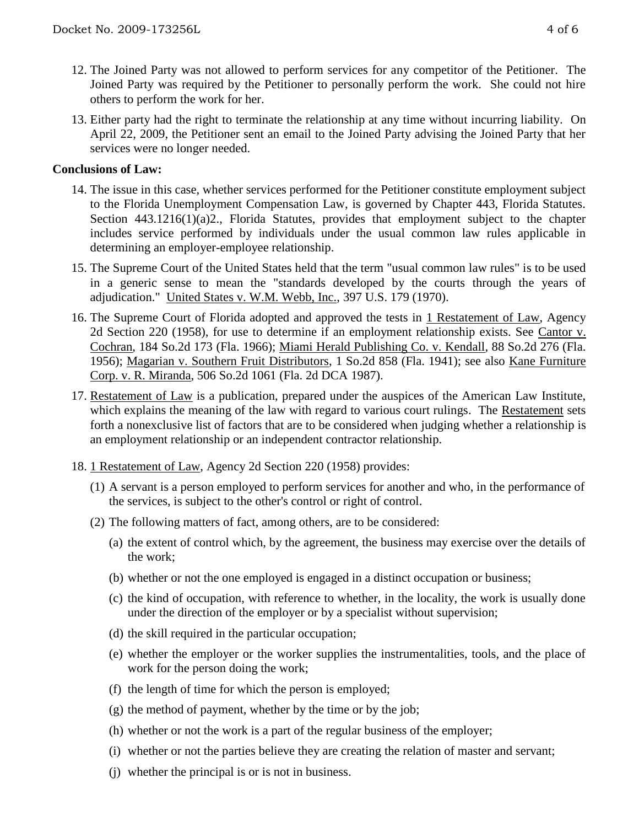- 12. The Joined Party was not allowed to perform services for any competitor of the Petitioner. The Joined Party was required by the Petitioner to personally perform the work. She could not hire others to perform the work for her.
- 13. Either party had the right to terminate the relationship at any time without incurring liability. On April 22, 2009, the Petitioner sent an email to the Joined Party advising the Joined Party that her services were no longer needed.

## **Conclusions of Law:**

- 14. The issue in this case, whether services performed for the Petitioner constitute employment subject to the Florida Unemployment Compensation Law, is governed by Chapter 443, Florida Statutes. Section 443.1216(1)(a)2., Florida Statutes, provides that employment subject to the chapter includes service performed by individuals under the usual common law rules applicable in determining an employer-employee relationship.
- 15. The Supreme Court of the United States held that the term "usual common law rules" is to be used in a generic sense to mean the "standards developed by the courts through the years of adjudication." United States v. W.M. Webb, Inc., 397 U.S. 179 (1970).
- 16. The Supreme Court of Florida adopted and approved the tests in 1 Restatement of Law, Agency 2d Section 220 (1958), for use to determine if an employment relationship exists. See Cantor v. Cochran, 184 So.2d 173 (Fla. 1966); Miami Herald Publishing Co. v. Kendall, 88 So.2d 276 (Fla. 1956); Magarian v. Southern Fruit Distributors, 1 So.2d 858 (Fla. 1941); see also Kane Furniture Corp. v. R. Miranda, 506 So.2d 1061 (Fla. 2d DCA 1987).
- 17. Restatement of Law is a publication, prepared under the auspices of the American Law Institute, which explains the meaning of the law with regard to various court rulings. The Restatement sets forth a nonexclusive list of factors that are to be considered when judging whether a relationship is an employment relationship or an independent contractor relationship.
- 18. 1 Restatement of Law, Agency 2d Section 220 (1958) provides:
	- (1) A servant is a person employed to perform services for another and who, in the performance of the services, is subject to the other's control or right of control.
	- (2) The following matters of fact, among others, are to be considered:
		- (a) the extent of control which, by the agreement, the business may exercise over the details of the work;
		- (b) whether or not the one employed is engaged in a distinct occupation or business;
		- (c) the kind of occupation, with reference to whether, in the locality, the work is usually done under the direction of the employer or by a specialist without supervision;
		- (d) the skill required in the particular occupation;
		- (e) whether the employer or the worker supplies the instrumentalities, tools, and the place of work for the person doing the work;
		- (f) the length of time for which the person is employed;
		- (g) the method of payment, whether by the time or by the job;
		- (h) whether or not the work is a part of the regular business of the employer;
		- (i) whether or not the parties believe they are creating the relation of master and servant;
		- (j) whether the principal is or is not in business.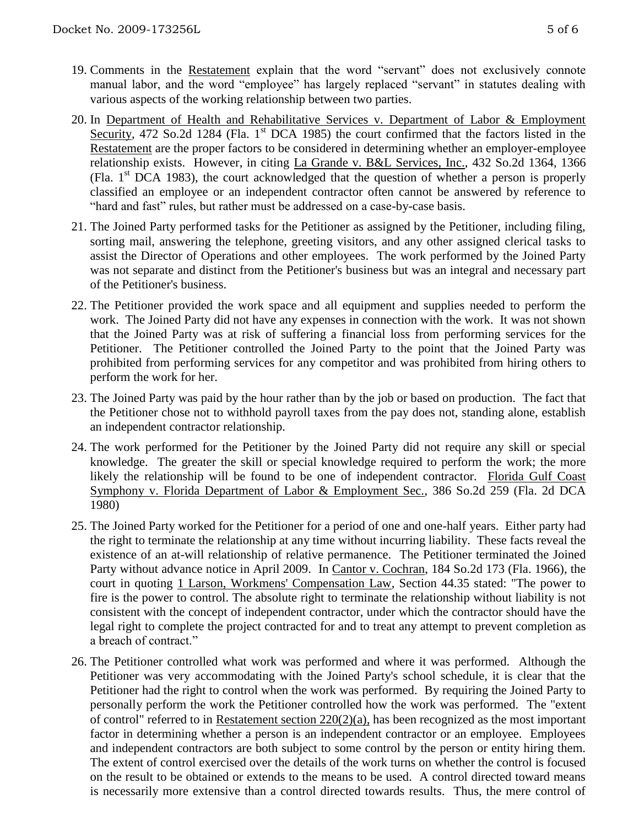- 19. Comments in the Restatement explain that the word "servant" does not exclusively connote manual labor, and the word "employee" has largely replaced "servant" in statutes dealing with various aspects of the working relationship between two parties.
- 20. In Department of Health and Rehabilitative Services v. Department of Labor & Employment Security, 472 So.2d 1284 (Fla. 1<sup>st</sup> DCA 1985) the court confirmed that the factors listed in the Restatement are the proper factors to be considered in determining whether an employer-employee relationship exists. However, in citing La Grande v. B&L Services, Inc., 432 So.2d 1364, 1366 (Fla.  $1<sup>st</sup>$  DCA 1983), the court acknowledged that the question of whether a person is properly classified an employee or an independent contractor often cannot be answered by reference to "hard and fast" rules, but rather must be addressed on a case-by-case basis.
- 21. The Joined Party performed tasks for the Petitioner as assigned by the Petitioner, including filing, sorting mail, answering the telephone, greeting visitors, and any other assigned clerical tasks to assist the Director of Operations and other employees. The work performed by the Joined Party was not separate and distinct from the Petitioner's business but was an integral and necessary part of the Petitioner's business.
- 22. The Petitioner provided the work space and all equipment and supplies needed to perform the work. The Joined Party did not have any expenses in connection with the work. It was not shown that the Joined Party was at risk of suffering a financial loss from performing services for the Petitioner. The Petitioner controlled the Joined Party to the point that the Joined Party was prohibited from performing services for any competitor and was prohibited from hiring others to perform the work for her.
- 23. The Joined Party was paid by the hour rather than by the job or based on production. The fact that the Petitioner chose not to withhold payroll taxes from the pay does not, standing alone, establish an independent contractor relationship.
- 24. The work performed for the Petitioner by the Joined Party did not require any skill or special knowledge. The greater the skill or special knowledge required to perform the work; the more likely the relationship will be found to be one of independent contractor. Florida Gulf Coast Symphony v. Florida Department of Labor & Employment Sec., 386 So.2d 259 (Fla. 2d DCA 1980)
- 25. The Joined Party worked for the Petitioner for a period of one and one-half years. Either party had the right to terminate the relationship at any time without incurring liability. These facts reveal the existence of an at-will relationship of relative permanence. The Petitioner terminated the Joined Party without advance notice in April 2009. In Cantor v. Cochran, 184 So.2d 173 (Fla. 1966), the court in quoting 1 Larson, Workmens' Compensation Law, Section 44.35 stated: "The power to fire is the power to control. The absolute right to terminate the relationship without liability is not consistent with the concept of independent contractor, under which the contractor should have the legal right to complete the project contracted for and to treat any attempt to prevent completion as a breach of contract."
- 26. The Petitioner controlled what work was performed and where it was performed. Although the Petitioner was very accommodating with the Joined Party's school schedule, it is clear that the Petitioner had the right to control when the work was performed. By requiring the Joined Party to personally perform the work the Petitioner controlled how the work was performed. The "extent of control" referred to in Restatement section 220(2)(a), has been recognized as the most important factor in determining whether a person is an independent contractor or an employee. Employees and independent contractors are both subject to some control by the person or entity hiring them. The extent of control exercised over the details of the work turns on whether the control is focused on the result to be obtained or extends to the means to be used. A control directed toward means is necessarily more extensive than a control directed towards results. Thus, the mere control of